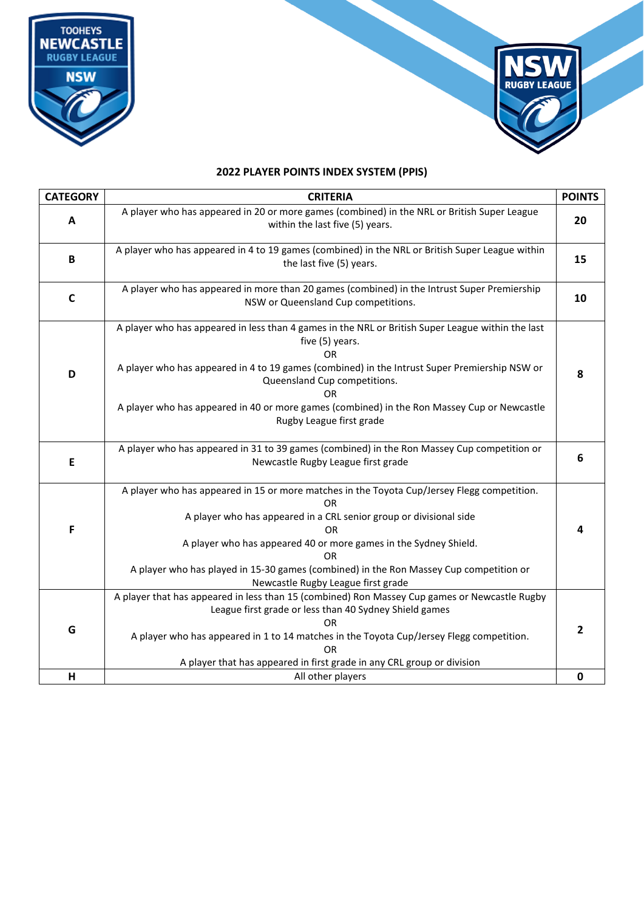



## **2022 PLAYER POINTS INDEX SYSTEM (PPIS)**

| <b>CATEGORY</b> | <b>CRITERIA</b>                                                                                                                                                                                                                                                                                                                                                                                       | <b>POINTS</b> |
|-----------------|-------------------------------------------------------------------------------------------------------------------------------------------------------------------------------------------------------------------------------------------------------------------------------------------------------------------------------------------------------------------------------------------------------|---------------|
| A               | A player who has appeared in 20 or more games (combined) in the NRL or British Super League<br>within the last five (5) years.                                                                                                                                                                                                                                                                        | 20            |
| B               | A player who has appeared in 4 to 19 games (combined) in the NRL or British Super League within<br>the last five (5) years.                                                                                                                                                                                                                                                                           | 15            |
| C               | A player who has appeared in more than 20 games (combined) in the Intrust Super Premiership<br>NSW or Queensland Cup competitions.                                                                                                                                                                                                                                                                    | 10            |
| D               | A player who has appeared in less than 4 games in the NRL or British Super League within the last<br>five (5) years.<br>0R<br>A player who has appeared in 4 to 19 games (combined) in the Intrust Super Premiership NSW or<br>Queensland Cup competitions.<br>ΩR<br>A player who has appeared in 40 or more games (combined) in the Ron Massey Cup or Newcastle<br>Rugby League first grade          | 8             |
| E               | A player who has appeared in 31 to 39 games (combined) in the Ron Massey Cup competition or<br>Newcastle Rugby League first grade                                                                                                                                                                                                                                                                     | 6             |
| F               | A player who has appeared in 15 or more matches in the Toyota Cup/Jersey Flegg competition.<br><b>OR</b><br>A player who has appeared in a CRL senior group or divisional side<br><b>OR</b><br>A player who has appeared 40 or more games in the Sydney Shield.<br>OR<br>A player who has played in 15-30 games (combined) in the Ron Massey Cup competition or<br>Newcastle Rugby League first grade | 4             |
| G               | A player that has appeared in less than 15 (combined) Ron Massey Cup games or Newcastle Rugby<br>League first grade or less than 40 Sydney Shield games<br><b>OR</b><br>A player who has appeared in 1 to 14 matches in the Toyota Cup/Jersey Flegg competition.<br><b>OR</b><br>A player that has appeared in first grade in any CRL group or division                                               | 2             |
| н               | All other players                                                                                                                                                                                                                                                                                                                                                                                     | 0             |